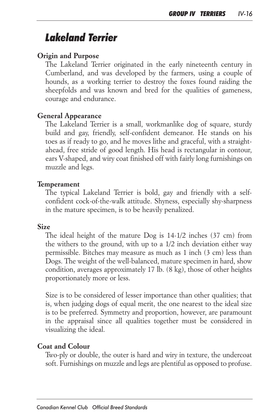# *Lakeland Terrier*

#### *Origin and Purpose*

The Lakeland Terrier originated in the early nineteenth century in *Cumberland, and was developed by the farmers, using a couple of hounds, as a working terrier to destroy the foxes found raiding the sheepfolds and was known and bred for the qualities of gameness, courage and endurance.*

#### *General Appearance*

*The Lakeland Terrier is a small, workmanlike dog of square, sturdy build and gay, friendly, self-confident demeanor. He stands on his toes as if ready to go, and he moves lithe and graceful, with a straight*ahead, free stride of good length. His head is rectangular in contour, *ears V-shaped, and wiry coat finished off with fairly long furnishings on muzzle and legs.*

#### *Temperament*

*The typical Lakeland Terrier is bold, gay and friendly with a selfconfident cock-of-the-walk attitude. Shyness, especially shy-sharpness in the mature specimen, is to be heavily penalized.*

#### *Size*

*The ideal height of the mature Dog is 14-1/2 inches (37 cm) from the withers to the ground, with up to a 1/2 inch deviation either way permissible. Bitches may measure as much as 1 inch (3 cm) less than Dogs. The weight of the well-balanced, mature specimen in hard, show condition, averages approximately 17 lb. (8 kg), those of other heights proportionately more or less.*

*Size is to be considered of lesser importance than other qualities; that is, when judging dogs of equal merit, the one nearest to the ideal size is to be preferred. Symmetry and proportion, however, are paramount*  in the appraisal since all qualities together must be considered in *visualizing the ideal.*

#### *Coat and Colour*

*Two-ply or double, the outer is hard and wiry in texture, the undercoat soft. Furnishings on muzzle and legs are plentiful as opposed to profuse.*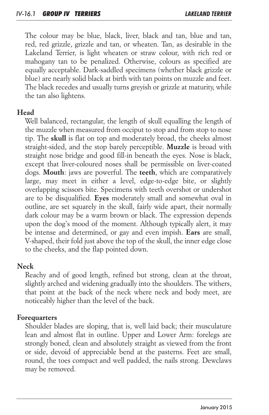The colour may be blue, black, liver, black and tan, blue and tan, red, red grizzle, grizzle and tan, or wheaten. Tan, as desirable in the Lakeland Terrier, is light wheaten or straw colour, with rich red or mahogany tan to be penalized. Otherwise, colours as specified are *equally acceptable. Dark-saddled specimens (whether black grizzle or blue) are nearly solid black at birth with tan points on muzzle and feet.*  The black recedes and usually turns greyish or grizzle at maturity, while *the tan also lightens.*

## *Head*

Well balanced, rectangular, the length of skull equalling the length of *the muzzle when measured from occiput to stop and from stop to nose tip. The skull is flat on top and moderately broad, the cheeks almost straight-sided, and the stop barely perceptible. Muzzle is broad with straight nose bridge and good fill-in beneath the eyes. Nose is black, except that liver-coloured noses shall be permissible on liver-coated dogs. Mouth: jaws are powerful. The teeth, which are comparatively large, may meet in either a level, edge-to-edge bite, or slightly overlapping scissors bite. Specimens with teeth overshot or undershot are to be disqualified. Eyes moderately small and somewhat oval in outline, are set squarely in the skull, fairly wide apart, their normally dark colour may be a warm brown or black. The expression depends upon the dog's mood of the moment. Although typically alert, it may be intense and determined, or gay and even impish. Ears are small, V-shaped, their fold just above the top of the skull, the inner edge close to the cheeks, and the flap pointed down.*

## *Neck*

*Reachy and of good length, refined but strong, clean at the throat, slightly arched and widening gradually into the shoulders. The withers,*  that point at the back of the neck where neck and body meet, are *noticeably higher than the level of the back.*

## *Forequarters*

Shoulder blades are sloping, that is, well laid back; their musculature lean and almost flat in outline. Upper and Lower Arm: forelegs are *strongly boned, clean and absolutely straight as viewed from the front or side, devoid of appreciable bend at the pasterns. Feet are small, round, the toes compact and well padded, the nails strong. Dewclaws may be removed.*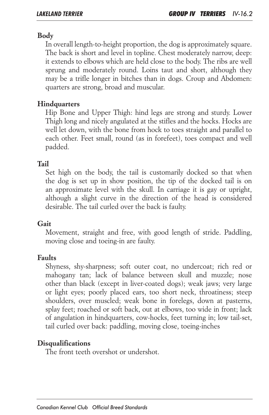## *Body*

In overall length-to-height proportion, the dog is approximately square. The back is short and level in topline. Chest moderately narrow, deep: it extends to elbows which are held close to the body. The ribs are well sprung and moderately round. Loins taut and short, although they *may be a trifle longer in bitches than in dogs. Croup and Abdomen: quarters are strong, broad and muscular.*

## *Hindquarters*

*Hip Bone and Upper Thigh: hind legs are strong and sturdy. Lower Thigh long and nicely angulated at the stifles and the hocks. Hocks are*  well let down, with the bone from hock to toes straight and parallel to each other. Feet small, round (as in forefeet), toes compact and well *padded.*

# *Tail*

Set high on the body, the tail is customarily docked so that when *the dog is set up in show position, the tip of the docked tail is on an approximate level with the skull. In carriage it is gay or upright,*  although a slight curve in the direction of the head is considered *desirable. The tail curled over the back is faulty.*

# *Gait*

*Movement, straight and free, with good length of stride. Paddling, moving close and toeing-in are faulty.*

## *Faults*

*Shyness, shy-sharpness; soft outer coat, no undercoat; rich red or mahogany tan; lack of balance between skull and muzzle; nose other than black (except in liver-coated dogs); weak jaws; very large or light eyes; poorly placed ears, too short neck, throatiness; steep shoulders, over muscled; weak bone in forelegs, down at pasterns, splay feet; roached or soft back, out at elbows, too wide in front; lack of angulation in hindquarters, cow-hocks, feet turning in; low tail-set, tail curled over back: paddling, moving close, toeing-inches*

## *Disqualifications*

*The front teeth overshot or undershot.*